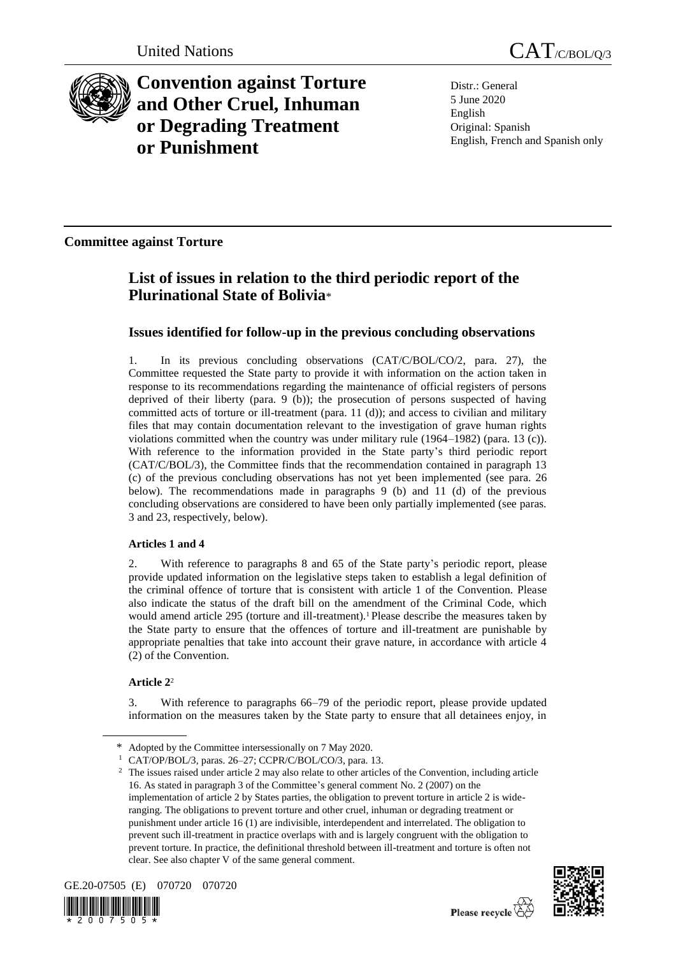



**Convention against Torture and Other Cruel, Inhuman or Degrading Treatment or Punishment**

Distr.: General 5 June 2020 English Original: Spanish English, French and Spanish only

**Committee against Torture**

# **List of issues in relation to the third periodic report of the Plurinational State of Bolivia**\*

## **Issues identified for follow-up in the previous concluding observations**

1. In its previous concluding observations (CAT/C/BOL/CO/2, para. 27), the Committee requested the State party to provide it with information on the action taken in response to its recommendations regarding the maintenance of official registers of persons deprived of their liberty (para. 9 (b)); the prosecution of persons suspected of having committed acts of torture or ill-treatment (para. 11 (d)); and access to civilian and military files that may contain documentation relevant to the investigation of grave human rights violations committed when the country was under military rule (1964–1982) (para. 13 (c)). With reference to the information provided in the State party's third periodic report (CAT/C/BOL/3), the Committee finds that the recommendation contained in paragraph 13 (c) of the previous concluding observations has not yet been implemented (see para. 26 below). The recommendations made in paragraphs 9 (b) and 11 (d) of the previous concluding observations are considered to have been only partially implemented (see paras. 3 and 23, respectively, below).

## **Articles 1 and 4**

2. With reference to paragraphs 8 and 65 of the State party's periodic report, please provide updated information on the legislative steps taken to establish a legal definition of the criminal offence of torture that is consistent with article 1 of the Convention. Please also indicate the status of the draft bill on the amendment of the Criminal Code, which would amend article 295 (torture and ill-treatment).<sup>1</sup> Please describe the measures taken by the State party to ensure that the offences of torture and ill-treatment are punishable by appropriate penalties that take into account their grave nature, in accordance with article 4 (2) of the Convention.

### **Article 2**<sup>2</sup>

3. With reference to paragraphs 66–79 of the periodic report, please provide updated information on the measures taken by the State party to ensure that all detainees enjoy, in

<sup>&</sup>lt;sup>2</sup> The issues raised under article 2 may also relate to other articles of the Convention, including article 16. As stated in paragraph 3 of the Committee's general comment No. 2 (2007) on the implementation of article 2 by States parties, the obligation to prevent torture in article 2 is wideranging. The obligations to prevent torture and other cruel, inhuman or degrading treatment or punishment under article 16 (1) are indivisible, interdependent and interrelated. The obligation to prevent such ill-treatment in practice overlaps with and is largely congruent with the obligation to prevent torture. In practice, the definitional threshold between ill-treatment and torture is often not clear. See also chapter V of the same general comment.







Please recycle  $\overleftrightarrow{C}$ 

<sup>\*</sup> Adopted by the Committee intersessionally on 7 May 2020.

<sup>1</sup> CAT/OP/BOL/3, paras. 26–27; CCPR/C/BOL/CO/3, para. 13.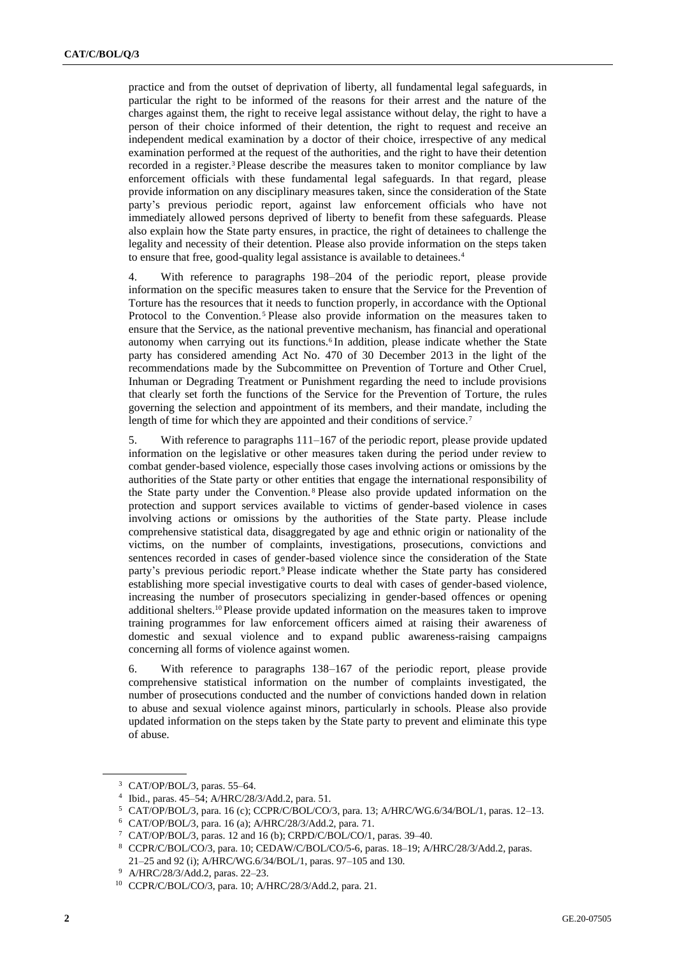practice and from the outset of deprivation of liberty, all fundamental legal safeguards, in particular the right to be informed of the reasons for their arrest and the nature of the charges against them, the right to receive legal assistance without delay, the right to have a person of their choice informed of their detention, the right to request and receive an independent medical examination by a doctor of their choice, irrespective of any medical examination performed at the request of the authorities, and the right to have their detention recorded in a register.<sup>3</sup> Please describe the measures taken to monitor compliance by law enforcement officials with these fundamental legal safeguards. In that regard, please provide information on any disciplinary measures taken, since the consideration of the State party's previous periodic report, against law enforcement officials who have not immediately allowed persons deprived of liberty to benefit from these safeguards. Please also explain how the State party ensures, in practice, the right of detainees to challenge the legality and necessity of their detention. Please also provide information on the steps taken to ensure that free, good-quality legal assistance is available to detainees.<sup>4</sup>

4. With reference to paragraphs 198–204 of the periodic report, please provide information on the specific measures taken to ensure that the Service for the Prevention of Torture has the resources that it needs to function properly, in accordance with the Optional Protocol to the Convention.<sup>5</sup> Please also provide information on the measures taken to ensure that the Service, as the national preventive mechanism, has financial and operational autonomy when carrying out its functions.<sup>6</sup> In addition, please indicate whether the State party has considered amending Act No. 470 of 30 December 2013 in the light of the recommendations made by the Subcommittee on Prevention of Torture and Other Cruel, Inhuman or Degrading Treatment or Punishment regarding the need to include provisions that clearly set forth the functions of the Service for the Prevention of Torture, the rules governing the selection and appointment of its members, and their mandate, including the length of time for which they are appointed and their conditions of service.<sup>7</sup>

5. With reference to paragraphs 111–167 of the periodic report, please provide updated information on the legislative or other measures taken during the period under review to combat gender-based violence, especially those cases involving actions or omissions by the authorities of the State party or other entities that engage the international responsibility of the State party under the Convention. <sup>8</sup> Please also provide updated information on the protection and support services available to victims of gender-based violence in cases involving actions or omissions by the authorities of the State party. Please include comprehensive statistical data, disaggregated by age and ethnic origin or nationality of the victims, on the number of complaints, investigations, prosecutions, convictions and sentences recorded in cases of gender-based violence since the consideration of the State party's previous periodic report.<sup>9</sup> Please indicate whether the State party has considered establishing more special investigative courts to deal with cases of gender-based violence, increasing the number of prosecutors specializing in gender-based offences or opening additional shelters.<sup>10</sup> Please provide updated information on the measures taken to improve training programmes for law enforcement officers aimed at raising their awareness of domestic and sexual violence and to expand public awareness-raising campaigns concerning all forms of violence against women.

6. With reference to paragraphs 138–167 of the periodic report, please provide comprehensive statistical information on the number of complaints investigated, the number of prosecutions conducted and the number of convictions handed down in relation to abuse and sexual violence against minors, particularly in schools. Please also provide updated information on the steps taken by the State party to prevent and eliminate this type of abuse.

<sup>3</sup> CAT/OP/BOL/3, paras. 55–64.

<sup>4</sup> Ibid., paras. 45–54; A/HRC/28/3/Add.2, para. 51.

<sup>5</sup> CAT/OP/BOL/3, para. 16 (c); CCPR/C/BOL/CO/3, para. 13; A/HRC/WG.6/34/BOL/1, paras. 12–13.

<sup>6</sup> CAT/OP/BOL/3, para. 16 (a); A/HRC/28/3/Add.2, para. 71.

<sup>7</sup> CAT/OP/BOL/3, paras. 12 and 16 (b); CRPD/C/BOL/CO/1, paras. 39–40.

<sup>8</sup> CCPR/C/BOL/CO/3, para. 10; CEDAW/C/BOL/CO/5-6, paras. 18–19; A/HRC/28/3/Add.2, paras. 21–25 and 92 (i); A/HRC/WG.6/34/BOL/1, paras. 97–105 and 130.

<sup>9</sup> A/HRC/28/3/Add.2, paras. 22–23.

<sup>10</sup> CCPR/C/BOL/CO/3, para. 10; A/HRC/28/3/Add.2, para. 21.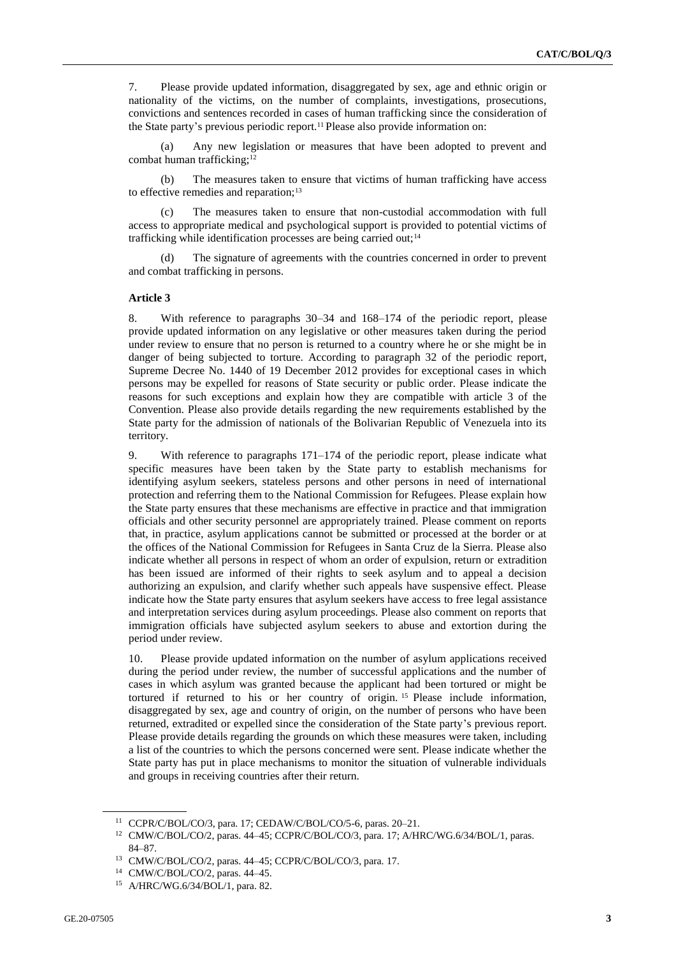7. Please provide updated information, disaggregated by sex, age and ethnic origin or nationality of the victims, on the number of complaints, investigations, prosecutions, convictions and sentences recorded in cases of human trafficking since the consideration of the State party's previous periodic report.<sup>11</sup> Please also provide information on:

(a) Any new legislation or measures that have been adopted to prevent and combat human trafficking;<sup>12</sup>

(b) The measures taken to ensure that victims of human trafficking have access to effective remedies and reparation;<sup>13</sup>

(c) The measures taken to ensure that non-custodial accommodation with full access to appropriate medical and psychological support is provided to potential victims of trafficking while identification processes are being carried out;<sup>14</sup>

(d) The signature of agreements with the countries concerned in order to prevent and combat trafficking in persons.

#### **Article 3**

8. With reference to paragraphs 30–34 and 168–174 of the periodic report, please provide updated information on any legislative or other measures taken during the period under review to ensure that no person is returned to a country where he or she might be in danger of being subjected to torture. According to paragraph 32 of the periodic report, Supreme Decree No. 1440 of 19 December 2012 provides for exceptional cases in which persons may be expelled for reasons of State security or public order. Please indicate the reasons for such exceptions and explain how they are compatible with article 3 of the Convention. Please also provide details regarding the new requirements established by the State party for the admission of nationals of the Bolivarian Republic of Venezuela into its territory.

9. With reference to paragraphs 171–174 of the periodic report, please indicate what specific measures have been taken by the State party to establish mechanisms for identifying asylum seekers, stateless persons and other persons in need of international protection and referring them to the National Commission for Refugees. Please explain how the State party ensures that these mechanisms are effective in practice and that immigration officials and other security personnel are appropriately trained. Please comment on reports that, in practice, asylum applications cannot be submitted or processed at the border or at the offices of the National Commission for Refugees in Santa Cruz de la Sierra. Please also indicate whether all persons in respect of whom an order of expulsion, return or extradition has been issued are informed of their rights to seek asylum and to appeal a decision authorizing an expulsion, and clarify whether such appeals have suspensive effect. Please indicate how the State party ensures that asylum seekers have access to free legal assistance and interpretation services during asylum proceedings. Please also comment on reports that immigration officials have subjected asylum seekers to abuse and extortion during the period under review.

10. Please provide updated information on the number of asylum applications received during the period under review, the number of successful applications and the number of cases in which asylum was granted because the applicant had been tortured or might be tortured if returned to his or her country of origin. <sup>15</sup> Please include information, disaggregated by sex, age and country of origin, on the number of persons who have been returned, extradited or expelled since the consideration of the State party's previous report. Please provide details regarding the grounds on which these measures were taken, including a list of the countries to which the persons concerned were sent. Please indicate whether the State party has put in place mechanisms to monitor the situation of vulnerable individuals and groups in receiving countries after their return.

<sup>11</sup> CCPR/C/BOL/CO/3, para. 17; CEDAW/C/BOL/CO/5-6, paras. 20–21.

<sup>&</sup>lt;sup>12</sup> CMW/C/BOL/CO/2, paras. 44-45; CCPR/C/BOL/CO/3, para. 17; A/HRC/WG.6/34/BOL/1, paras. 84–87.

<sup>13</sup> CMW/C/BOL/CO/2, paras. 44–45; CCPR/C/BOL/CO/3, para. 17.

<sup>14</sup> CMW/C/BOL/CO/2, paras. 44–45.

<sup>15</sup> A/HRC/WG.6/34/BOL/1, para. 82.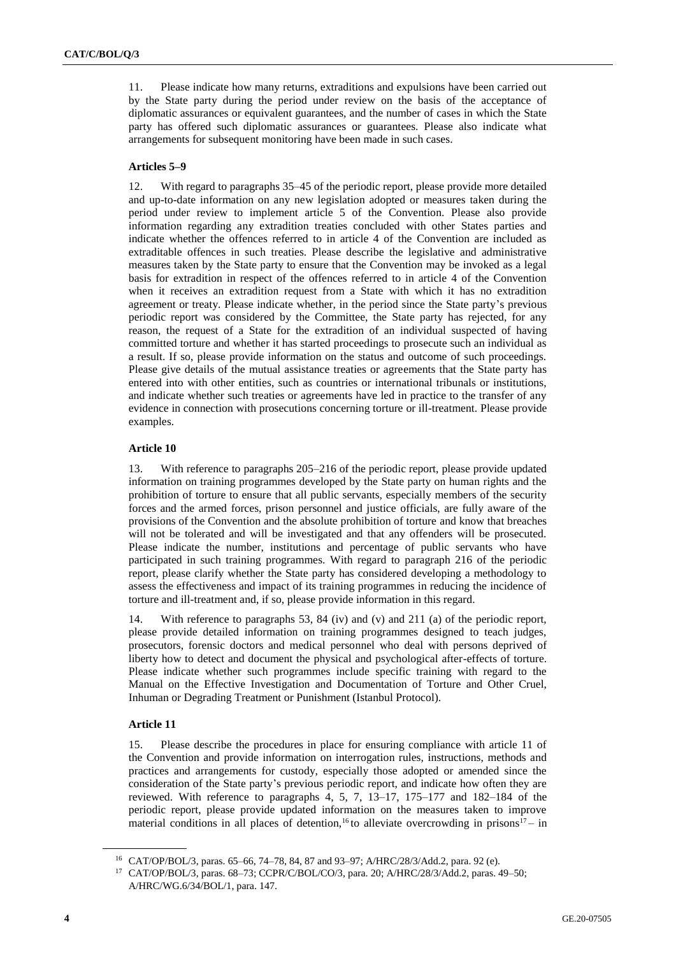11. Please indicate how many returns, extraditions and expulsions have been carried out by the State party during the period under review on the basis of the acceptance of diplomatic assurances or equivalent guarantees, and the number of cases in which the State party has offered such diplomatic assurances or guarantees. Please also indicate what arrangements for subsequent monitoring have been made in such cases.

#### **Articles 5–9**

12. With regard to paragraphs 35–45 of the periodic report, please provide more detailed and up-to-date information on any new legislation adopted or measures taken during the period under review to implement article 5 of the Convention. Please also provide information regarding any extradition treaties concluded with other States parties and indicate whether the offences referred to in article 4 of the Convention are included as extraditable offences in such treaties. Please describe the legislative and administrative measures taken by the State party to ensure that the Convention may be invoked as a legal basis for extradition in respect of the offences referred to in article 4 of the Convention when it receives an extradition request from a State with which it has no extradition agreement or treaty. Please indicate whether, in the period since the State party's previous periodic report was considered by the Committee, the State party has rejected, for any reason, the request of a State for the extradition of an individual suspected of having committed torture and whether it has started proceedings to prosecute such an individual as a result. If so, please provide information on the status and outcome of such proceedings. Please give details of the mutual assistance treaties or agreements that the State party has entered into with other entities, such as countries or international tribunals or institutions, and indicate whether such treaties or agreements have led in practice to the transfer of any evidence in connection with prosecutions concerning torture or ill-treatment. Please provide examples.

#### **Article 10**

13. With reference to paragraphs 205–216 of the periodic report, please provide updated information on training programmes developed by the State party on human rights and the prohibition of torture to ensure that all public servants, especially members of the security forces and the armed forces, prison personnel and justice officials, are fully aware of the provisions of the Convention and the absolute prohibition of torture and know that breaches will not be tolerated and will be investigated and that any offenders will be prosecuted. Please indicate the number, institutions and percentage of public servants who have participated in such training programmes. With regard to paragraph 216 of the periodic report, please clarify whether the State party has considered developing a methodology to assess the effectiveness and impact of its training programmes in reducing the incidence of torture and ill-treatment and, if so, please provide information in this regard.

14. With reference to paragraphs 53, 84 (iv) and (v) and 211 (a) of the periodic report, please provide detailed information on training programmes designed to teach judges, prosecutors, forensic doctors and medical personnel who deal with persons deprived of liberty how to detect and document the physical and psychological after-effects of torture. Please indicate whether such programmes include specific training with regard to the Manual on the Effective Investigation and Documentation of Torture and Other Cruel, Inhuman or Degrading Treatment or Punishment (Istanbul Protocol).

#### **Article 11**

15. Please describe the procedures in place for ensuring compliance with article 11 of the Convention and provide information on interrogation rules, instructions, methods and practices and arrangements for custody, especially those adopted or amended since the consideration of the State party's previous periodic report, and indicate how often they are reviewed. With reference to paragraphs 4, 5, 7, 13–17, 175–177 and 182–184 of the periodic report, please provide updated information on the measures taken to improve material conditions in all places of detention,<sup>16</sup> to alleviate overcrowding in prisons<sup>17</sup> – in

<sup>16</sup> CAT/OP/BOL/3, paras. 65–66, 74–78, 84, 87 and 93–97; A/HRC/28/3/Add.2, para. 92 (e).

<sup>17</sup> CAT/OP/BOL/3, paras. 68–73; CCPR/C/BOL/CO/3, para. 20; A/HRC/28/3/Add.2, paras. 49–50; A/HRC/WG.6/34/BOL/1, para. 147.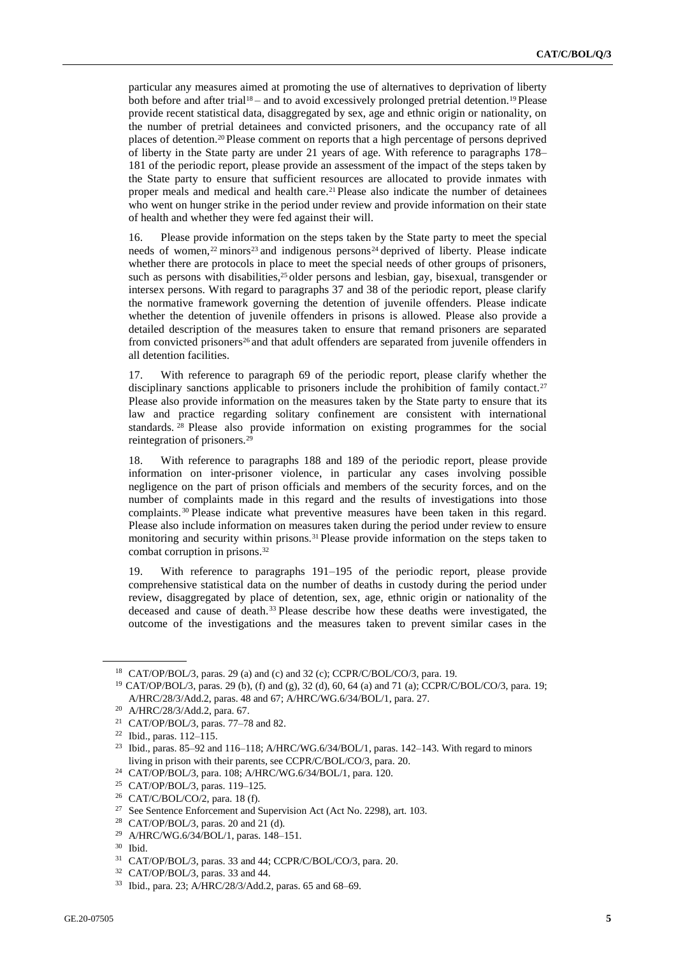particular any measures aimed at promoting the use of alternatives to deprivation of liberty both before and after trial<sup>18</sup> – and to avoid excessively prolonged pretrial detention.<sup>19</sup> Please provide recent statistical data, disaggregated by sex, age and ethnic origin or nationality, on the number of pretrial detainees and convicted prisoners, and the occupancy rate of all places of detention.<sup>20</sup> Please comment on reports that a high percentage of persons deprived of liberty in the State party are under 21 years of age. With reference to paragraphs 178– 181 of the periodic report, please provide an assessment of the impact of the steps taken by the State party to ensure that sufficient resources are allocated to provide inmates with proper meals and medical and health care.<sup>21</sup> Please also indicate the number of detainees who went on hunger strike in the period under review and provide information on their state of health and whether they were fed against their will.

16. Please provide information on the steps taken by the State party to meet the special needs of women,<sup>22</sup> minors<sup>23</sup> and indigenous persons<sup>24</sup> deprived of liberty. Please indicate whether there are protocols in place to meet the special needs of other groups of prisoners, such as persons with disabilities, $25$  older persons and lesbian, gay, bisexual, transgender or intersex persons. With regard to paragraphs 37 and 38 of the periodic report, please clarify the normative framework governing the detention of juvenile offenders. Please indicate whether the detention of juvenile offenders in prisons is allowed. Please also provide a detailed description of the measures taken to ensure that remand prisoners are separated from convicted prisoners<sup>26</sup> and that adult offenders are separated from juvenile offenders in all detention facilities.

17. With reference to paragraph 69 of the periodic report, please clarify whether the disciplinary sanctions applicable to prisoners include the prohibition of family contact.<sup>27</sup> Please also provide information on the measures taken by the State party to ensure that its law and practice regarding solitary confinement are consistent with international standards. <sup>28</sup> Please also provide information on existing programmes for the social reintegration of prisoners.<sup>29</sup>

18. With reference to paragraphs 188 and 189 of the periodic report, please provide information on inter-prisoner violence, in particular any cases involving possible negligence on the part of prison officials and members of the security forces, and on the number of complaints made in this regard and the results of investigations into those complaints. <sup>30</sup> Please indicate what preventive measures have been taken in this regard. Please also include information on measures taken during the period under review to ensure monitoring and security within prisons.<sup>31</sup> Please provide information on the steps taken to combat corruption in prisons.<sup>32</sup>

19. With reference to paragraphs 191–195 of the periodic report, please provide comprehensive statistical data on the number of deaths in custody during the period under review, disaggregated by place of detention, sex, age, ethnic origin or nationality of the deceased and cause of death.<sup>33</sup> Please describe how these deaths were investigated, the outcome of the investigations and the measures taken to prevent similar cases in the

<sup>18</sup> CAT/OP/BOL/3, paras. 29 (a) and (c) and 32 (c); CCPR/C/BOL/CO/3, para. 19.

<sup>19</sup> CAT/OP/BOL/3, paras. 29 (b), (f) and (g), 32 (d), 60, 64 (a) and 71 (a); CCPR/C/BOL/CO/3, para. 19; A/HRC/28/3/Add.2, paras. 48 and 67; A/HRC/WG.6/34/BOL/1, para. 27.

<sup>20</sup> A/HRC/28/3/Add.2, para. 67.

<sup>21</sup> CAT/OP/BOL/3, paras. 77–78 and 82.

<sup>22</sup> Ibid., paras. 112–115.

<sup>23</sup> Ibid., paras. 85–92 and 116–118; A/HRC/WG.6/34/BOL/1, paras. 142–143. With regard to minors living in prison with their parents, see CCPR/C/BOL/CO/3, para. 20.

<sup>24</sup> CAT/OP/BOL/3, para. 108; A/HRC/WG.6/34/BOL/1, para. 120.

<sup>25</sup> CAT/OP/BOL/3, paras. 119–125.

<sup>26</sup> CAT/C/BOL/CO/2, para. 18 (f).

<sup>&</sup>lt;sup>27</sup> See Sentence Enforcement and Supervision Act (Act No. 2298), art. 103.

<sup>28</sup> CAT/OP/BOL/3, paras. 20 and 21 (d).

<sup>29</sup> A/HRC/WG.6/34/BOL/1, paras. 148–151.

<sup>30</sup> Ibid.

<sup>31</sup> CAT/OP/BOL/3, paras. 33 and 44; CCPR/C/BOL/CO/3, para. 20.

<sup>32</sup> CAT/OP/BOL/3, paras. 33 and 44.

<sup>33</sup> Ibid., para. 23; A/HRC/28/3/Add.2, paras. 65 and 68–69.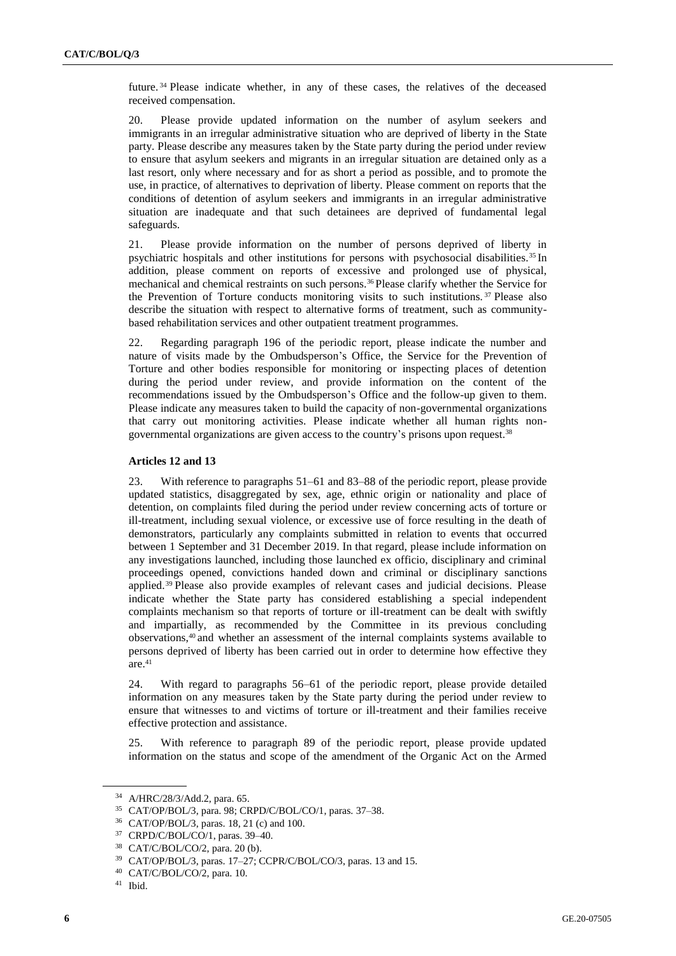future. <sup>34</sup> Please indicate whether, in any of these cases, the relatives of the deceased received compensation.

20. Please provide updated information on the number of asylum seekers and immigrants in an irregular administrative situation who are deprived of liberty in the State party. Please describe any measures taken by the State party during the period under review to ensure that asylum seekers and migrants in an irregular situation are detained only as a last resort, only where necessary and for as short a period as possible, and to promote the use, in practice, of alternatives to deprivation of liberty. Please comment on reports that the conditions of detention of asylum seekers and immigrants in an irregular administrative situation are inadequate and that such detainees are deprived of fundamental legal safeguards.

21. Please provide information on the number of persons deprived of liberty in psychiatric hospitals and other institutions for persons with psychosocial disabilities.<sup>35</sup> In addition, please comment on reports of excessive and prolonged use of physical, mechanical and chemical restraints on such persons.<sup>36</sup> Please clarify whether the Service for the Prevention of Torture conducts monitoring visits to such institutions. <sup>37</sup> Please also describe the situation with respect to alternative forms of treatment, such as communitybased rehabilitation services and other outpatient treatment programmes.

22. Regarding paragraph 196 of the periodic report, please indicate the number and nature of visits made by the Ombudsperson's Office, the Service for the Prevention of Torture and other bodies responsible for monitoring or inspecting places of detention during the period under review, and provide information on the content of the recommendations issued by the Ombudsperson's Office and the follow-up given to them. Please indicate any measures taken to build the capacity of non-governmental organizations that carry out monitoring activities. Please indicate whether all human rights nongovernmental organizations are given access to the country's prisons upon request.<sup>38</sup>

#### **Articles 12 and 13**

23. With reference to paragraphs 51–61 and 83–88 of the periodic report, please provide updated statistics, disaggregated by sex, age, ethnic origin or nationality and place of detention, on complaints filed during the period under review concerning acts of torture or ill-treatment, including sexual violence, or excessive use of force resulting in the death of demonstrators, particularly any complaints submitted in relation to events that occurred between 1 September and 31 December 2019. In that regard, please include information on any investigations launched, including those launched ex officio, disciplinary and criminal proceedings opened, convictions handed down and criminal or disciplinary sanctions applied.<sup>39</sup> Please also provide examples of relevant cases and judicial decisions. Please indicate whether the State party has considered establishing a special independent complaints mechanism so that reports of torture or ill-treatment can be dealt with swiftly and impartially, as recommended by the Committee in its previous concluding observations,<sup>40</sup> and whether an assessment of the internal complaints systems available to persons deprived of liberty has been carried out in order to determine how effective they are.<sup>41</sup>

24. With regard to paragraphs 56–61 of the periodic report, please provide detailed information on any measures taken by the State party during the period under review to ensure that witnesses to and victims of torture or ill-treatment and their families receive effective protection and assistance.

25. With reference to paragraph 89 of the periodic report, please provide updated information on the status and scope of the amendment of the Organic Act on the Armed

<sup>34</sup> A/HRC/28/3/Add.2, para. 65.

<sup>35</sup> CAT/OP/BOL/3, para. 98; CRPD/C/BOL/CO/1, paras. 37–38.

<sup>36</sup> CAT/OP/BOL/3, paras. 18, 21 (c) and 100.

<sup>37</sup> CRPD/C/BOL/CO/1, paras. 39–40.

<sup>38</sup> CAT/C/BOL/CO/2, para. 20 (b).

<sup>39</sup> CAT/OP/BOL/3, paras. 17–27; CCPR/C/BOL/CO/3, paras. 13 and 15.

<sup>40</sup> CAT/C/BOL/CO/2, para. 10.

<sup>41</sup> Ibid.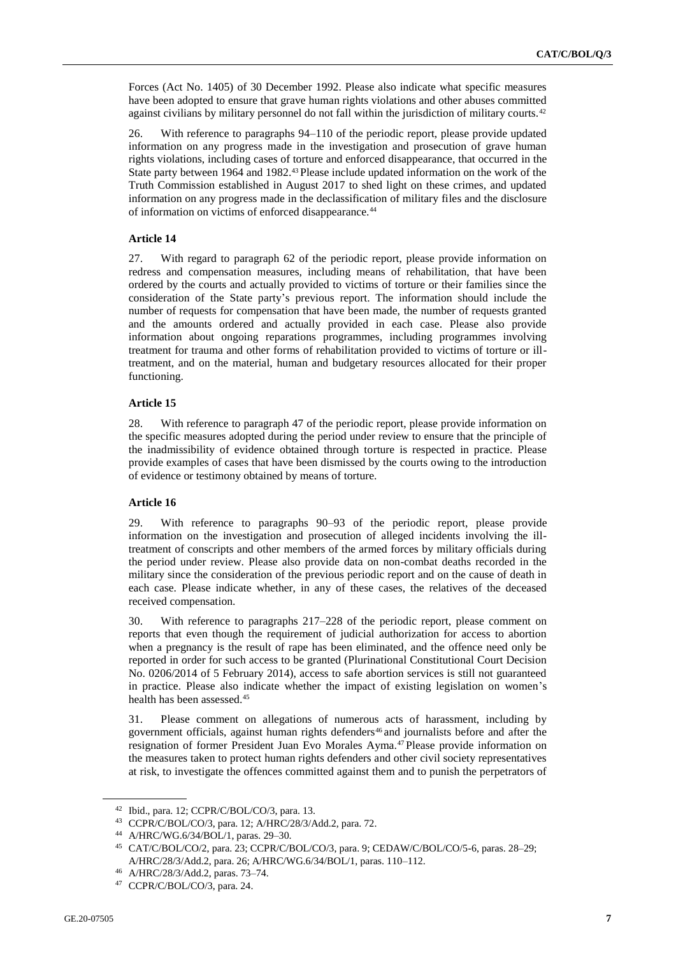Forces (Act No. 1405) of 30 December 1992. Please also indicate what specific measures have been adopted to ensure that grave human rights violations and other abuses committed against civilians by military personnel do not fall within the jurisdiction of military courts.<sup>42</sup>

26. With reference to paragraphs 94–110 of the periodic report, please provide updated information on any progress made in the investigation and prosecution of grave human rights violations, including cases of torture and enforced disappearance, that occurred in the State party between 1964 and 1982.<sup>43</sup> Please include updated information on the work of the Truth Commission established in August 2017 to shed light on these crimes, and updated information on any progress made in the declassification of military files and the disclosure of information on victims of enforced disappearance.<sup>44</sup>

#### **Article 14**

27. With regard to paragraph 62 of the periodic report, please provide information on redress and compensation measures, including means of rehabilitation, that have been ordered by the courts and actually provided to victims of torture or their families since the consideration of the State party's previous report. The information should include the number of requests for compensation that have been made, the number of requests granted and the amounts ordered and actually provided in each case. Please also provide information about ongoing reparations programmes, including programmes involving treatment for trauma and other forms of rehabilitation provided to victims of torture or illtreatment, and on the material, human and budgetary resources allocated for their proper functioning.

#### **Article 15**

28. With reference to paragraph 47 of the periodic report, please provide information on the specific measures adopted during the period under review to ensure that the principle of the inadmissibility of evidence obtained through torture is respected in practice. Please provide examples of cases that have been dismissed by the courts owing to the introduction of evidence or testimony obtained by means of torture.

#### **Article 16**

29. With reference to paragraphs 90–93 of the periodic report, please provide information on the investigation and prosecution of alleged incidents involving the illtreatment of conscripts and other members of the armed forces by military officials during the period under review. Please also provide data on non-combat deaths recorded in the military since the consideration of the previous periodic report and on the cause of death in each case. Please indicate whether, in any of these cases, the relatives of the deceased received compensation.

30. With reference to paragraphs 217–228 of the periodic report, please comment on reports that even though the requirement of judicial authorization for access to abortion when a pregnancy is the result of rape has been eliminated, and the offence need only be reported in order for such access to be granted (Plurinational Constitutional Court Decision No. 0206/2014 of 5 February 2014), access to safe abortion services is still not guaranteed in practice. Please also indicate whether the impact of existing legislation on women's health has been assessed.<sup>45</sup>

31. Please comment on allegations of numerous acts of harassment, including by government officials, against human rights defenders<sup>46</sup> and journalists before and after the resignation of former President Juan Evo Morales Ayma.<sup>47</sup> Please provide information on the measures taken to protect human rights defenders and other civil society representatives at risk, to investigate the offences committed against them and to punish the perpetrators of

<sup>42</sup> Ibid., para. 12; CCPR/C/BOL/CO/3, para. 13.

<sup>43</sup> CCPR/C/BOL/CO/3, para. 12; A/HRC/28/3/Add.2, para. 72.

<sup>44</sup> A/HRC/WG.6/34/BOL/1, paras. 29–30.

<sup>45</sup> CAT/C/BOL/CO/2, para. 23; CCPR/C/BOL/CO/3, para. 9; CEDAW/C/BOL/CO/5-6, paras. 28–29; A/HRC/28/3/Add.2, para. 26; A/HRC/WG.6/34/BOL/1, paras. 110–112.

<sup>46</sup> A/HRC/28/3/Add.2, paras. 73–74.

<sup>47</sup> CCPR/C/BOL/CO/3, para. 24.